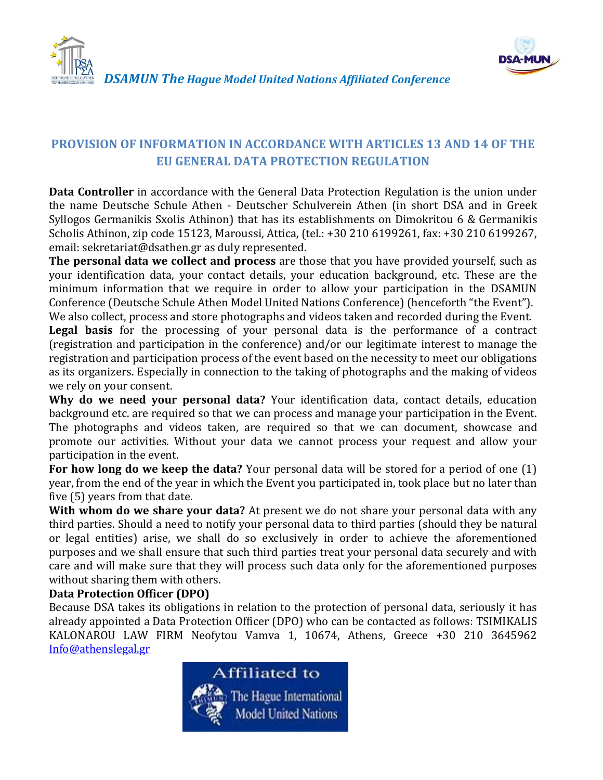



## *DSAMUN The Hague Model United Nations Affiliated Conference*

# **PROVISION OF INFORMATION IN ACCORDANCE WITH ARTICLES 13 AND 14 OF THE EU GENERAL DATA PROTECTION REGULATION**

**Data Controller** in accordance with the General Data Protection Regulation is the union under the name Deutsche Schule Athen - Deutscher Schulverein Athen (in short DSA and in Greek Syllogos Germanikis Sxolis Athinon) that has its establishments on Dimokritou 6 & Germanikis Scholis Athinon, zip code 15123, Maroussi, Attica, (tel.: +30 210 6199261, fax: +30 210 6199267, email: sekretariat@dsathen.gr as duly represented.

**The personal data we collect and process** are those that you have provided yourself, such as your identification data, your contact details, your education background, etc. These are the minimum information that we require in order to allow your participation in the DSAMUN Conference (Deutsche Schule Athen Model United Nations Conference) (henceforth "the Event"). We also collect, process and store photographs and videos taken and recorded during the Event.

**Legal basis** for the processing of your personal data is the performance of a contract (registration and participation in the conference) and/or our legitimate interest to manage the registration and participation process of the event based on the necessity to meet our obligations as its organizers. Especially in connection to the taking of photographs and the making of videos we rely on your consent.

**Why do we need your personal data?** Your identification data, contact details, education background etc. are required so that we can process and manage your participation in the Event. The photographs and videos taken, are required so that we can document, showcase and promote our activities. Without your data we cannot process your request and allow your participation in the event.

**For how long do we keep the data?** Your personal data will be stored for a period of one (1) year, from the end of the year in which the Event you participated in, took place but no later than five (5) years from that date.

**With whom do we share your data?** At present we do not share your personal data with any third parties. Should a need to notify your personal data to third parties (should they be natural or legal entities) arise, we shall do so exclusively in order to achieve the aforementioned purposes and we shall ensure that such third parties treat your personal data securely and with care and will make sure that they will process such data only for the aforementioned purposes without sharing them with others.

### **Data Protection Officer (DPO)**

Because DSA takes its obligations in relation to the protection of personal data, seriously it has already appointed a Data Protection Officer (DPO) who can be contacted as follows: TSIMIKALIS KALONAROU LAW FIRM Neofytou Vamva 1, 10674, Athens, Greece +30 210 3645962 [Info@athenslegal.gr](mailto:Info@athenslegal.gr)

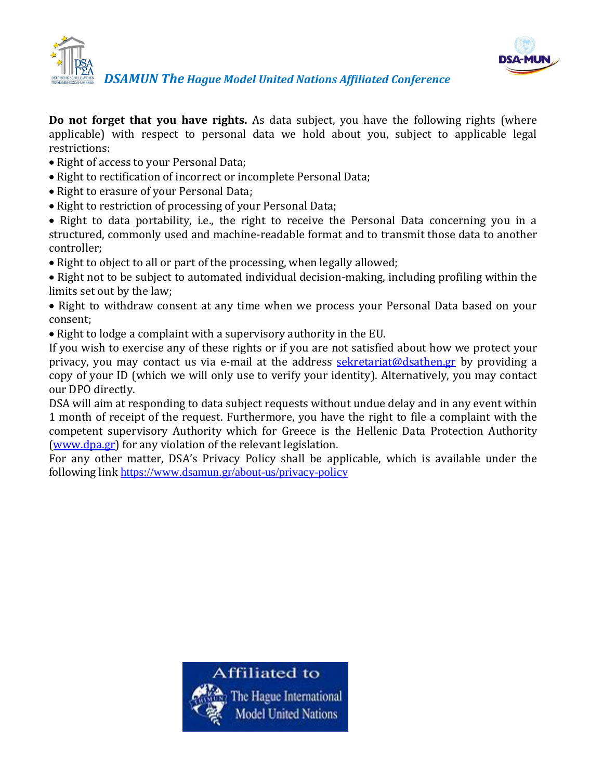



**Do not forget that you have rights.** As data subject, you have the following rights (where applicable) with respect to personal data we hold about you, subject to applicable legal

restrictions:

- Right of access to your Personal Data;
- Right to rectification of incorrect or incomplete Personal Data;
- Right to erasure of your Personal Data;
- Right to restriction of processing of your Personal Data;

• Right to data portability, i.e., the right to receive the Personal Data concerning you in a structured, commonly used and machine-readable format and to transmit those data to another controller;

• Right to object to all or part of the processing, when legally allowed;

• Right not to be subject to automated individual decision-making, including profiling within the limits set out by the law;

• Right to withdraw consent at any time when we process your Personal Data based on your consent;

Right to lodge a complaint with a supervisory authority in the EU.

If you wish to exercise any of these rights or if you are not satisfied about how we protect your privacy, you may contact us via e-mail at the address [sekretariat@dsathen.gr](mailto:sekretariat@dsathen.gr) by providing a copy of your ID (which we will only use to verify your identity). Alternatively, you may contact our DPO directly.

DSA will aim at responding to data subject requests without undue delay and in any event within 1 month of receipt of the request. Furthermore, you have the right to file a complaint with the competent supervisory Authority which for Greece is the Hellenic Data Protection Authority [\(www.dpa.gr\)](http://www.dpa.gr/) for any violation of the relevant legislation.

For any other matter, DSA's Privacy Policy shall be applicable, which is available under the following link <https://www.dsamun.gr/about-us/privacy-policy>

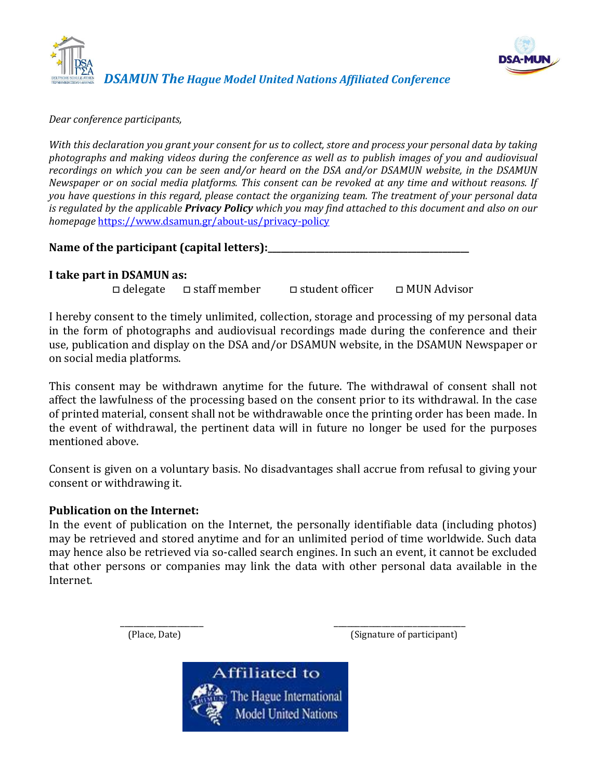



*Dear conference participants,* 

*With this declaration you grant your consent for us to collect, store and process your personal data by taking photographs and making videos during the conference as well as to publish images of you and audiovisual recordings on which you can be seen and/or heard on the DSA and/or DSAMUN website, in the DSAMUN Newspaper or on social media platforms. This consent can be revoked at any time and without reasons. If you have questions in this regard, please contact the organizing team. The treatment of your personal data is regulated by the applicable Privacy Policy which you may find attached to this document and also on our homepage* <https://www.dsamun.gr/about-us/privacy-policy>

Name of the participant (capital letters):

#### **I take part in DSAMUN as:**

□ delegate □ staff member □ student officer □ MUN Advisor

I hereby consent to the timely unlimited, collection, storage and processing of my personal data in the form of photographs and audiovisual recordings made during the conference and their use, publication and display on the DSA and/or DSAMUN website, in the DSAMUN Newspaper or on social media platforms.

This consent may be withdrawn anytime for the future. The withdrawal of consent shall not affect the lawfulness of the processing based on the consent prior to its withdrawal. In the case of printed material, consent shall not be withdrawable once the printing order has been made. In the event of withdrawal, the pertinent data will in future no longer be used for the purposes mentioned above.

Consent is given on a voluntary basis. No disadvantages shall accrue from refusal to giving your consent or withdrawing it.

#### **Publication on the Internet:**

In the event of publication on the Internet, the personally identifiable data (including photos) may be retrieved and stored anytime and for an unlimited period of time worldwide. Such data may hence also be retrieved via so-called search engines. In such an event, it cannot be excluded that other persons or companies may link the data with other personal data available in the Internet.

\_\_\_\_\_\_\_\_\_\_\_\_\_\_\_\_\_\_\_ \_\_\_\_\_\_\_\_\_\_\_\_\_\_\_\_\_\_\_\_\_\_\_\_\_\_\_\_\_\_ (Place, Date) (Signature of participant)